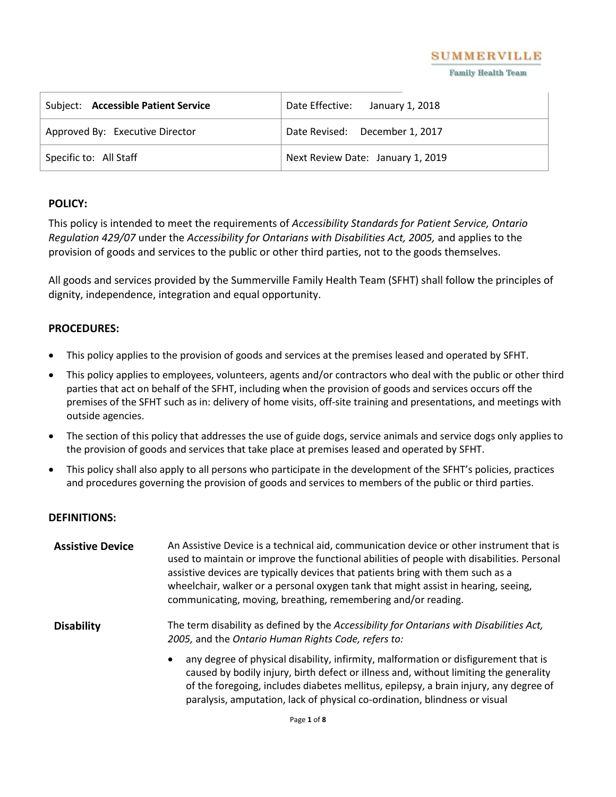

**Family Health Team** 

| Subject: Accessible Patient Service | Date Effective:<br>January 1, 2018 |
|-------------------------------------|------------------------------------|
| Approved By: Executive Director     | Date Revised: December 1, 2017     |
| Specific to: All Staff              | Next Review Date: January 1, 2019  |

## **POLICY:**

This policy is intended to meet the requirements of *Accessibility Standards for Patient Service, Ontario Regulation 429/07* under the *Accessibility for Ontarians with Disabilities Act, 2005,* and applies to the provision of goods and services to the public or other third parties, not to the goods themselves.

All goods and services provided by the Summerville Family Health Team (SFHT) shall follow the principles of dignity, independence, integration and equal opportunity.

## **PROCEDURES:**

- This policy applies to the provision of goods and services at the premises leased and operated by SFHT.
- This policy applies to employees, volunteers, agents and/or contractors who deal with the public or other third parties that act on behalf of the SFHT, including when the provision of goods and services occurs off the premises of the SFHT such as in: delivery of home visits, off-site training and presentations, and meetings with outside agencies.
- The section of this policy that addresses the use of guide dogs, service animals and service dogs only applies to the provision of goods and services that take place at premises leased and operated by SFHT.
- This policy shall also apply to all persons who participate in the development of the SFHT's policies, practices and procedures governing the provision of goods and services to members of the public or third parties.

# **DEFINITIONS:**

| <b>Assistive Device</b> | An Assistive Device is a technical aid, communication device or other instrument that is<br>used to maintain or improve the functional abilities of people with disabilities. Personal<br>assistive devices are typically devices that patients bring with them such as a<br>wheelchair, walker or a personal oxygen tank that might assist in hearing, seeing,<br>communicating, moving, breathing, remembering and/or reading. |
|-------------------------|----------------------------------------------------------------------------------------------------------------------------------------------------------------------------------------------------------------------------------------------------------------------------------------------------------------------------------------------------------------------------------------------------------------------------------|
| <b>Disability</b>       | The term disability as defined by the Accessibility for Ontarians with Disabilities Act,<br>2005, and the Ontario Human Rights Code, refers to:                                                                                                                                                                                                                                                                                  |
|                         | any degree of physical disability, infirmity, malformation or disfigurement that is<br>$\bullet$<br>caused by bodily injury, birth defect or illness and, without limiting the generality<br>of the foregoing, includes diabetes mellitus, epilepsy, a brain injury, any degree of                                                                                                                                               |

paralysis, amputation, lack of physical co-ordination, blindness or visual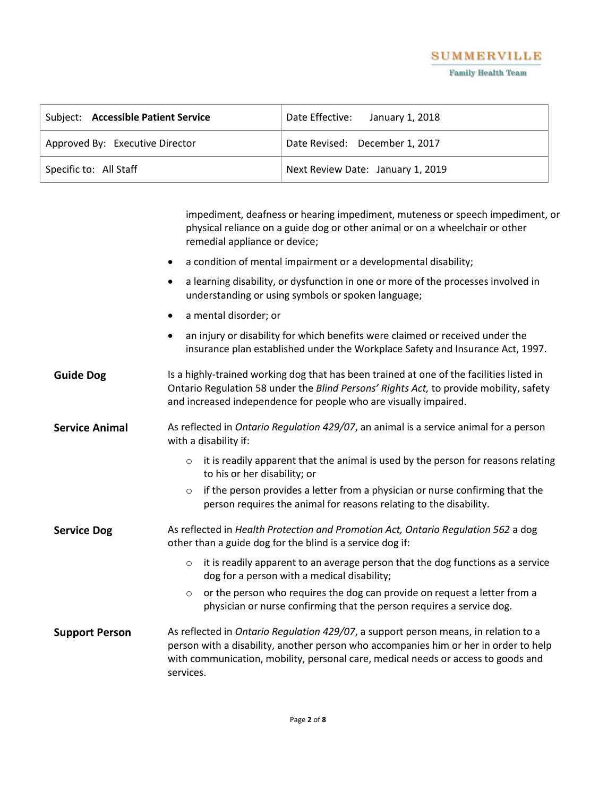

| Subject: Accessible Patient Service | Date Effective: January 1, 2018   |
|-------------------------------------|-----------------------------------|
| Approved By: Executive Director     | Date Revised: December 1, 2017    |
| Specific to: All Staff              | Next Review Date: January 1, 2019 |

impediment, deafness or hearing impediment, muteness or speech impediment, or physical reliance on a guide dog or other animal or on a wheelchair or other remedial appliance or device;

- a condition of mental impairment or a developmental disability;
- a learning disability, or dysfunction in one or more of the processes involved in understanding or using symbols or spoken language;
- a mental disorder; or
- an injury or disability for which benefits were claimed or received under the insurance plan established under the Workplace Safety and Insurance Act, 1997.
- **Guide Dog** Is a highly-trained working dog that has been trained at one of the facilities listed in Ontario Regulation 58 under the *Blind Persons' Rights Act,* to provide mobility, safety and increased independence for people who are visually impaired.
- **Service Animal** As reflected in *Ontario Regulation 429/07*, an animal is a service animal for a person with a disability if:
	- $\circ$  it is readily apparent that the animal is used by the person for reasons relating to his or her disability; or
	- $\circ$  if the person provides a letter from a physician or nurse confirming that the person requires the animal for reasons relating to the disability.
- **Service Dog** As reflected in *Health Protection and Promotion Act, Ontario Regulation 562* a dog other than a guide dog for the blind is a service dog if:
	- $\circ$  it is readily apparent to an average person that the dog functions as a service dog for a person with a medical disability;
	- o or the person who requires the dog can provide on request a letter from a physician or nurse confirming that the person requires a service dog.
- **Support Person** As reflected in *Ontario Regulation 429/07*, a support person means, in relation to a person with a disability, another person who accompanies him or her in order to help with communication, mobility, personal care, medical needs or access to goods and services.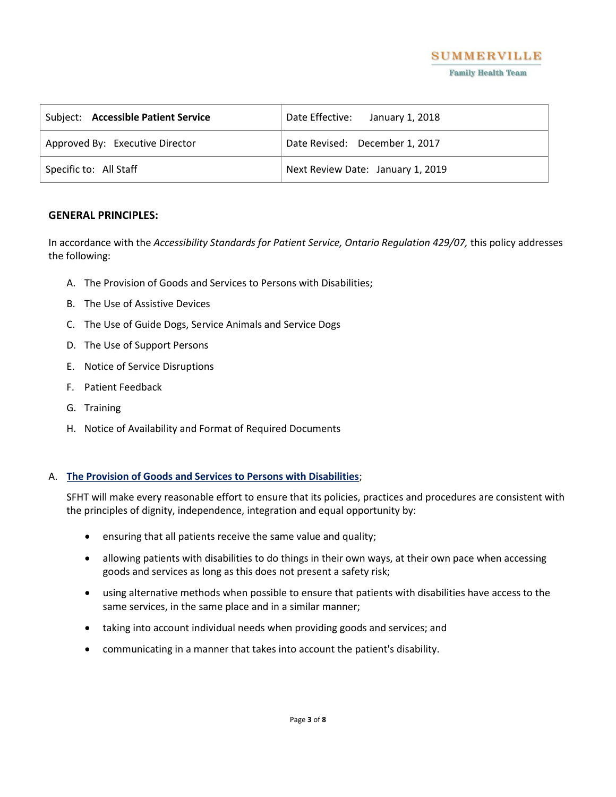

| Subject: Accessible Patient Service | Date Effective: January 1, 2018   |
|-------------------------------------|-----------------------------------|
| Approved By: Executive Director     | Date Revised: December 1, 2017    |
| Specific to: All Staff              | Next Review Date: January 1, 2019 |

## **GENERAL PRINCIPLES:**

In accordance with the *Accessibility Standards for Patient Service, Ontario Regulation 429/07,* this policy addresses the following:

- A. The Provision of Goods and Services to Persons with Disabilities;
- B. The Use of Assistive Devices
- C. The Use of Guide Dogs, Service Animals and Service Dogs
- D. The Use of Support Persons
- E. Notice of Service Disruptions
- F. Patient Feedback
- G. Training
- H. Notice of Availability and Format of Required Documents

#### A. **The Provision of Goods and Services to Persons with Disabilities**;

SFHT will make every reasonable effort to ensure that its policies, practices and procedures are consistent with the principles of dignity, independence, integration and equal opportunity by:

- ensuring that all patients receive the same value and quality;
- allowing patients with disabilities to do things in their own ways, at their own pace when accessing goods and services as long as this does not present a safety risk;
- using alternative methods when possible to ensure that patients with disabilities have access to the same services, in the same place and in a similar manner;
- taking into account individual needs when providing goods and services; and
- communicating in a manner that takes into account the patient's disability.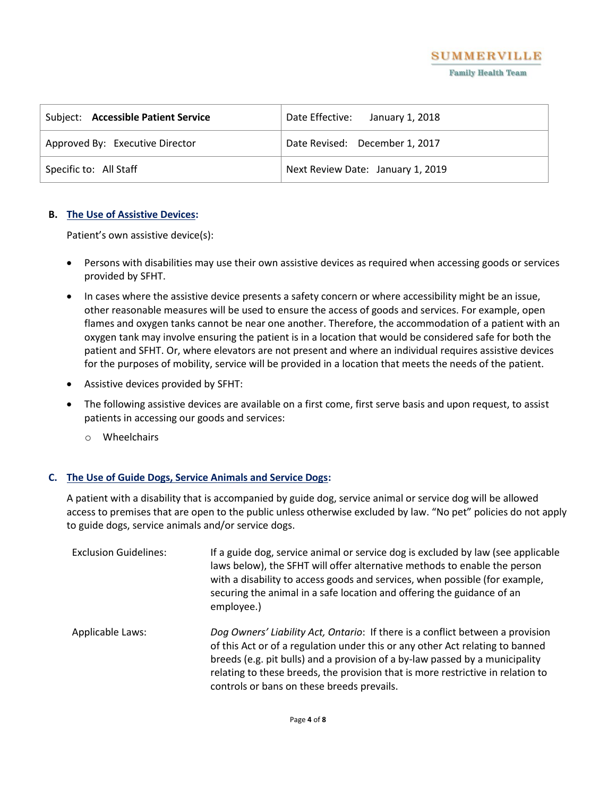

| Subject: Accessible Patient Service | Date Effective: January 1, 2018   |
|-------------------------------------|-----------------------------------|
| Approved By: Executive Director     | Date Revised: December 1, 2017    |
| Specific to: All Staff              | Next Review Date: January 1, 2019 |

## **B. The Use of Assistive Devices:**

Patient's own assistive device(s):

- Persons with disabilities may use their own assistive devices as required when accessing goods or services provided by SFHT.
- In cases where the assistive device presents a safety concern or where accessibility might be an issue, other reasonable measures will be used to ensure the access of goods and services. For example, open flames and oxygen tanks cannot be near one another. Therefore, the accommodation of a patient with an oxygen tank may involve ensuring the patient is in a location that would be considered safe for both the patient and SFHT. Or, where elevators are not present and where an individual requires assistive devices for the purposes of mobility, service will be provided in a location that meets the needs of the patient.
- Assistive devices provided by SFHT:
- The following assistive devices are available on a first come, first serve basis and upon request, to assist patients in accessing our goods and services:
	- o Wheelchairs

# **C. The Use of Guide Dogs, Service Animals and Service Dogs:**

A patient with a disability that is accompanied by guide dog, service animal or service dog will be allowed access to premises that are open to the public unless otherwise excluded by law. "No pet" policies do not apply to guide dogs, service animals and/or service dogs.

| <b>Exclusion Guidelines:</b> | If a guide dog, service animal or service dog is excluded by law (see applicable<br>laws below), the SFHT will offer alternative methods to enable the person<br>with a disability to access goods and services, when possible (for example,<br>securing the animal in a safe location and offering the guidance of an<br>employee.)                                             |
|------------------------------|----------------------------------------------------------------------------------------------------------------------------------------------------------------------------------------------------------------------------------------------------------------------------------------------------------------------------------------------------------------------------------|
| Applicable Laws:             | Dog Owners' Liability Act, Ontario: If there is a conflict between a provision<br>of this Act or of a regulation under this or any other Act relating to banned<br>breeds (e.g. pit bulls) and a provision of a by-law passed by a municipality<br>relating to these breeds, the provision that is more restrictive in relation to<br>controls or bans on these breeds prevails. |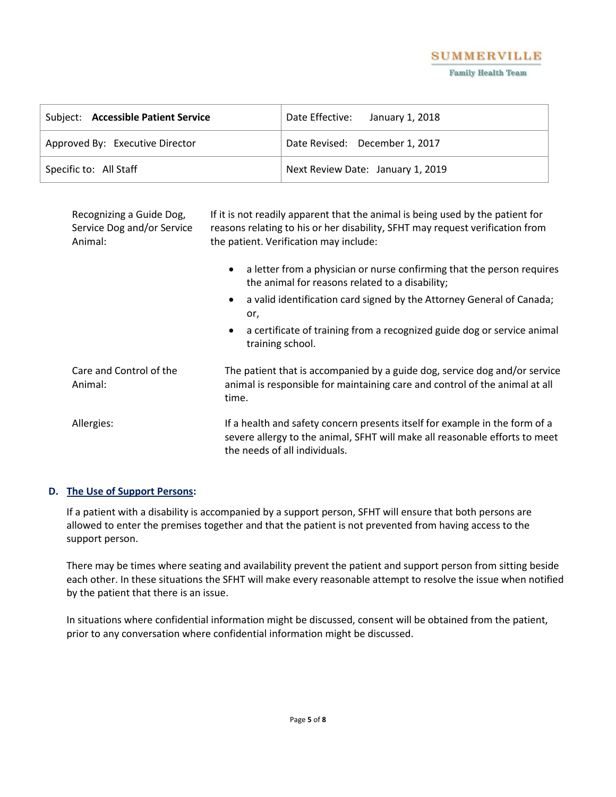

| Subject: Accessible Patient Service | Date Effective: January 1, 2018   |
|-------------------------------------|-----------------------------------|
| Approved By: Executive Director     | Date Revised: December 1, 2017    |
| Specific to: All Staff              | Next Review Date: January 1, 2019 |

| Recognizing a Guide Dog,<br>Service Dog and/or Service<br>Animal: | If it is not readily apparent that the animal is being used by the patient for<br>reasons relating to his or her disability, SFHT may request verification from<br>the patient. Verification may include: |
|-------------------------------------------------------------------|-----------------------------------------------------------------------------------------------------------------------------------------------------------------------------------------------------------|
|                                                                   | a letter from a physician or nurse confirming that the person requires<br>$\bullet$<br>the animal for reasons related to a disability;                                                                    |
|                                                                   | a valid identification card signed by the Attorney General of Canada;<br>or,                                                                                                                              |
|                                                                   | a certificate of training from a recognized guide dog or service animal<br>$\bullet$<br>training school.                                                                                                  |
| Care and Control of the<br>Animal:                                | The patient that is accompanied by a guide dog, service dog and/or service<br>animal is responsible for maintaining care and control of the animal at all<br>time.                                        |
| Allergies:                                                        | If a health and safety concern presents itself for example in the form of a<br>severe allergy to the animal, SFHT will make all reasonable efforts to meet<br>the needs of all individuals.               |

# **D. The Use of Support Persons:**

If a patient with a disability is accompanied by a support person, SFHT will ensure that both persons are allowed to enter the premises together and that the patient is not prevented from having access to the support person.

There may be times where seating and availability prevent the patient and support person from sitting beside each other. In these situations the SFHT will make every reasonable attempt to resolve the issue when notified by the patient that there is an issue.

In situations where confidential information might be discussed, consent will be obtained from the patient, prior to any conversation where confidential information might be discussed.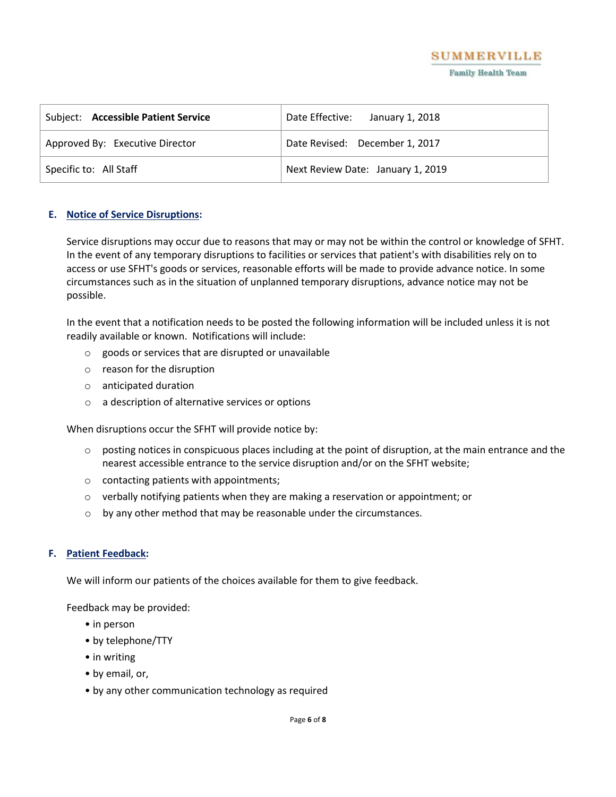

| Subject: Accessible Patient Service | Date Effective: January 1, 2018   |
|-------------------------------------|-----------------------------------|
| Approved By: Executive Director     | Date Revised: December 1, 2017    |
| Specific to: All Staff              | Next Review Date: January 1, 2019 |

## **E. Notice of Service Disruptions:**

Service disruptions may occur due to reasons that may or may not be within the control or knowledge of SFHT. In the event of any temporary disruptions to facilities or services that patient's with disabilities rely on to access or use SFHT's goods or services, reasonable efforts will be made to provide advance notice. In some circumstances such as in the situation of unplanned temporary disruptions, advance notice may not be possible.

In the event that a notification needs to be posted the following information will be included unless it is not readily available or known. Notifications will include:

- o goods or services that are disrupted or unavailable
- o reason for the disruption
- o anticipated duration
- o a description of alternative services or options

When disruptions occur the SFHT will provide notice by:

- $\circ$  posting notices in conspicuous places including at the point of disruption, at the main entrance and the nearest accessible entrance to the service disruption and/or on the SFHT website;
- o contacting patients with appointments;
- o verbally notifying patients when they are making a reservation or appointment; or
- o by any other method that may be reasonable under the circumstances.

#### **F. Patient Feedback:**

We will inform our patients of the choices available for them to give feedback.

Feedback may be provided:

- in person
- by telephone/TTY
- in writing
- by email, or,
- by any other communication technology as required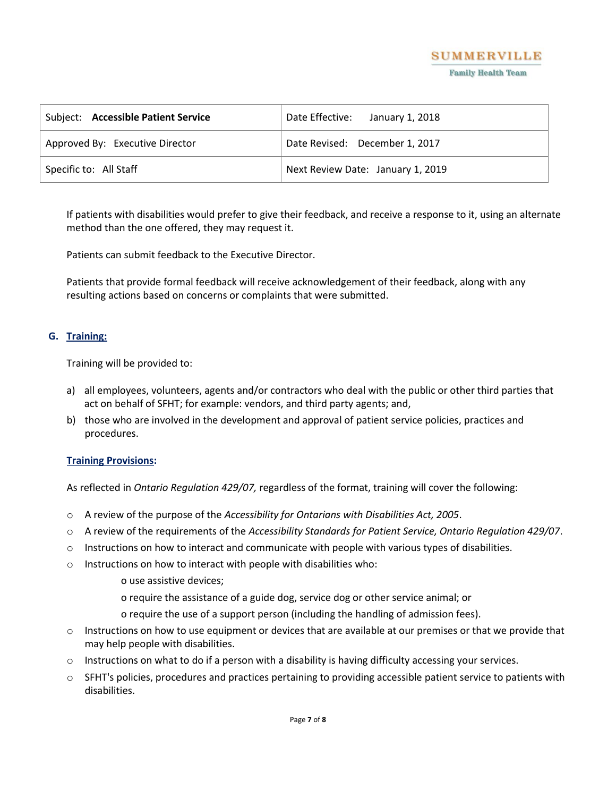

| Subject: Accessible Patient Service | Date Effective: January 1, 2018   |
|-------------------------------------|-----------------------------------|
| Approved By: Executive Director     | Date Revised: December 1, 2017    |
| Specific to: All Staff              | Next Review Date: January 1, 2019 |

If patients with disabilities would prefer to give their feedback, and receive a response to it, using an alternate method than the one offered, they may request it.

Patients can submit feedback to the Executive Director.

Patients that provide formal feedback will receive acknowledgement of their feedback, along with any resulting actions based on concerns or complaints that were submitted.

# **G. Training:**

Training will be provided to:

- a) all employees, volunteers, agents and/or contractors who deal with the public or other third parties that act on behalf of SFHT; for example: vendors, and third party agents; and,
- b) those who are involved in the development and approval of patient service policies, practices and procedures.

# **Training Provisions:**

As reflected in *Ontario Regulation 429/07,* regardless of the format, training will cover the following:

- o A review of the purpose of the *Accessibility for Ontarians with Disabilities Act, 2005*.
- o A review of the requirements of the *Accessibility Standards for Patient Service, Ontario Regulation 429/07*.
- o Instructions on how to interact and communicate with people with various types of disabilities.
- o Instructions on how to interact with people with disabilities who:
	- o use assistive devices;
	- o require the assistance of a guide dog, service dog or other service animal; or
	- o require the use of a support person (including the handling of admission fees).
- o Instructions on how to use equipment or devices that are available at our premises or that we provide that may help people with disabilities.
- $\circ$  Instructions on what to do if a person with a disability is having difficulty accessing your services.
- $\circ$  SFHT's policies, procedures and practices pertaining to providing accessible patient service to patients with disabilities.